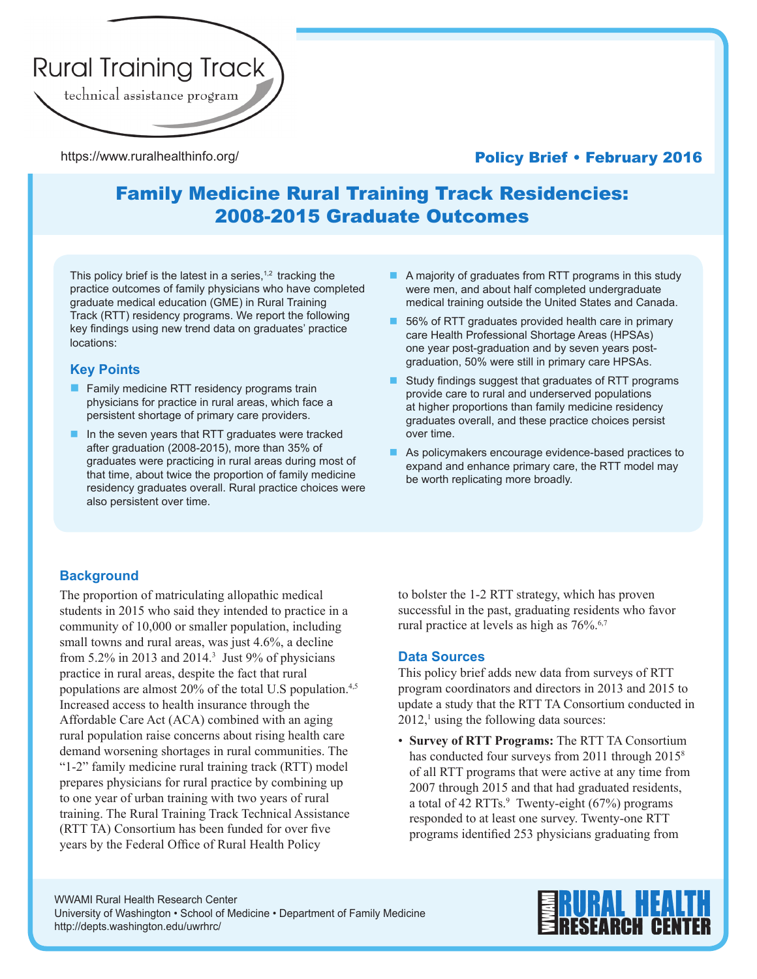

https://www.ruralhealthinfo.org/

## Policy Brief • February 2016

# Family Medicine Rural Training Track Residencies: 2008-2015 Graduate Outcomes

This policy brief is the latest in a series, $1,2$  tracking the practice outcomes of family physicians who have completed graduate medical education (GME) in Rural Training Track (RTT) residency programs. We report the following key findings using new trend data on graduates' practice locations:

### **Key Points**

- $\blacksquare$  Family medicine RTT residency programs train physicians for practice in rural areas, which face a persistent shortage of primary care providers.
- n In the seven years that RTT graduates were tracked after graduation (2008-2015), more than 35% of graduates were practicing in rural areas during most of that time, about twice the proportion of family medicine residency graduates overall. Rural practice choices were also persistent over time.
- $\blacksquare$  A majority of graduates from RTT programs in this study were men, and about half completed undergraduate medical training outside the United States and Canada.
- $\blacksquare$  56% of RTT graduates provided health care in primary care Health Professional Shortage Areas (HPSAs) one year post-graduation and by seven years postgraduation, 50% were still in primary care HPSAs.
- **n** Study findings suggest that graduates of RTT programs provide care to rural and underserved populations at higher proportions than family medicine residency graduates overall, and these practice choices persist over time.
- $\blacksquare$  As policymakers encourage evidence-based practices to expand and enhance primary care, the RTT model may be worth replicating more broadly.

### **Background**

The proportion of matriculating allopathic medical students in 2015 who said they intended to practice in a community of 10,000 or smaller population, including small towns and rural areas, was just 4.6%, a decline from  $5.2\%$  in 2013 and 2014.<sup>3</sup> Just 9% of physicians practice in rural areas, despite the fact that rural populations are almost 20% of the total U.S population.<sup>4,5</sup> Increased access to health insurance through the Affordable Care Act (ACA) combined with an aging rural population raise concerns about rising health care demand worsening shortages in rural communities. The "1-2" family medicine rural training track (RTT) model prepares physicians for rural practice by combining up to one year of urban training with two years of rural training. The Rural Training Track Technical Assistance (RTT TA) Consortium has been funded for over five years by the Federal Office of Rural Health Policy

to bolster the 1-2 RTT strategy, which has proven successful in the past, graduating residents who favor rural practice at levels as high as  $76\%$ .<sup>6,7</sup>

### **Data Sources**

This policy brief adds new data from surveys of RTT program coordinators and directors in 2013 and 2015 to update a study that the RTT TA Consortium conducted in  $2012$ ,<sup>1</sup> using the following data sources:

• **Survey of RTT Programs:** The RTT TA Consortium has conducted four surveys from 2011 through 2015<sup>8</sup> of all RTT programs that were active at any time from 2007 through 2015 and that had graduated residents, a total of  $42$  RTTs. $\degree$  Twenty-eight (67%) programs responded to at least one survey. Twenty-one RTT programs identified 253 physicians graduating from

WWAMI Rural Health Research Center University of Washington • School of Medicine • Department of Family Medicine http://depts.washington.edu/uwrhrc/

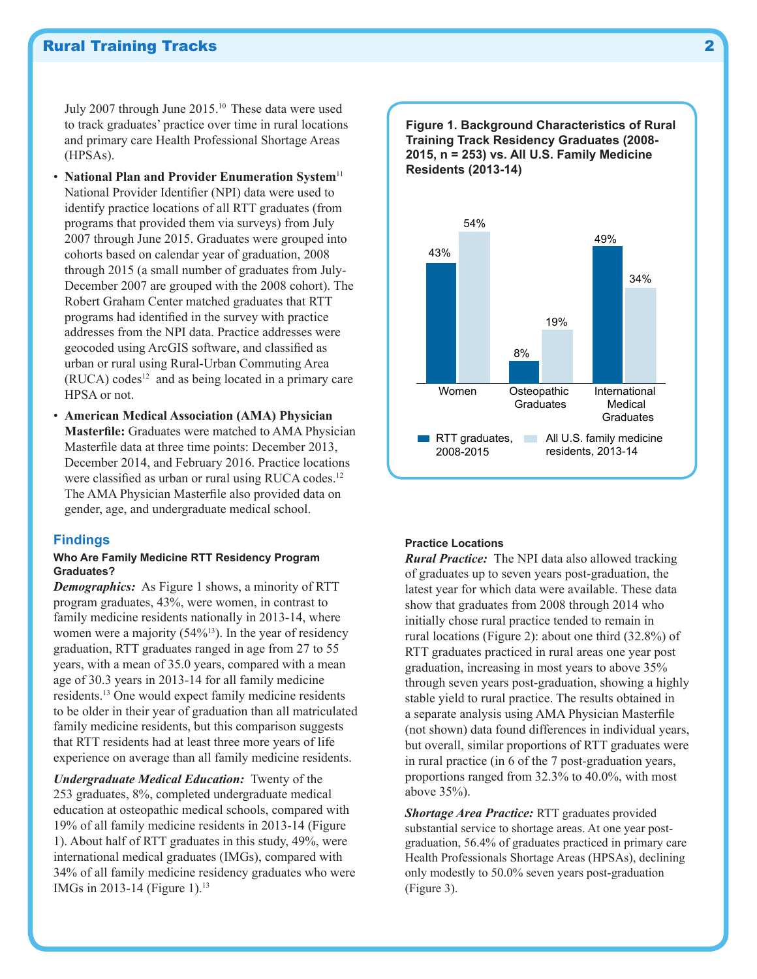### Rural Training Tracks 2

July 2007 through June 2015.10 These data were used to track graduates' practice over time in rural locations and primary care Health Professional Shortage Areas (HPSAs).

- **National Plan and Provider Enumeration System**<sup>11</sup> National Provider Identifier (NPI) data were used to identify practice locations of all RTT graduates (from programs that provided them via surveys) from July 2007 through June 2015. Graduates were grouped into cohorts based on calendar year of graduation, 2008 through 2015 (a small number of graduates from July-December 2007 are grouped with the 2008 cohort). The Robert Graham Center matched graduates that RTT programs had identified in the survey with practice addresses from the NPI data. Practice addresses were geocoded using ArcGIS software, and classified as urban or rural using Rural-Urban Commuting Area  $(RUCA)$  codes<sup>12</sup> and as being located in a primary care HPSA or not.
- **American Medical Association (AMA) Physician Masterfile:** Graduates were matched to AMA Physician Masterfile data at three time points: December 2013, December 2014, and February 2016. Practice locations were classified as urban or rural using RUCA codes.<sup>12</sup> The AMA Physician Masterfile also provided data on gender, age, and undergraduate medical school.

#### **Findings**

### **Who Are Family Medicine RTT Residency Program Graduates?**

*Demographics:* As Figure 1 shows, a minority of RTT program graduates, 43%, were women, in contrast to family medicine residents nationally in 2013-14, where women were a majority (54%<sup>13</sup>). In the year of residency graduation, RTT graduates ranged in age from 27 to 55 years, with a mean of 35.0 years, compared with a mean age of 30.3 years in 2013-14 for all family medicine residents.13 One would expect family medicine residents to be older in their year of graduation than all matriculated family medicine residents, but this comparison suggests that RTT residents had at least three more years of life experience on average than all family medicine residents.

*Undergraduate Medical Education:* Twenty of the 253 graduates, 8%, completed undergraduate medical education at osteopathic medical schools, compared with 19% of all family medicine residents in 2013-14 (Figure 1). About half of RTT graduates in this study, 49%, were international medical graduates (IMGs), compared with 34% of all family medicine residency graduates who were IMGs in 2013-14 (Figure 1).<sup>13</sup>

**Figure 1. Background Characteristics of Rural Training Track Residency Graduates (2008- 2015, n = 253) vs. All U.S. Family Medicine Residents (2013-14)**



#### **Practice Locations**

*Rural Practice:* The NPI data also allowed tracking of graduates up to seven years post-graduation, the latest year for which data were available. These data show that graduates from 2008 through 2014 who initially chose rural practice tended to remain in rural locations (Figure 2): about one third (32.8%) of RTT graduates practiced in rural areas one year post graduation, increasing in most years to above 35% through seven years post-graduation, showing a highly stable yield to rural practice. The results obtained in a separate analysis using AMA Physician Masterfile (not shown) data found differences in individual years, but overall, similar proportions of RTT graduates were in rural practice (in 6 of the 7 post-graduation years, proportions ranged from 32.3% to 40.0%, with most above 35%).

*Shortage Area Practice:* RTT graduates provided substantial service to shortage areas. At one year postgraduation, 56.4% of graduates practiced in primary care Health Professionals Shortage Areas (HPSAs), declining only modestly to 50.0% seven years post-graduation (Figure 3).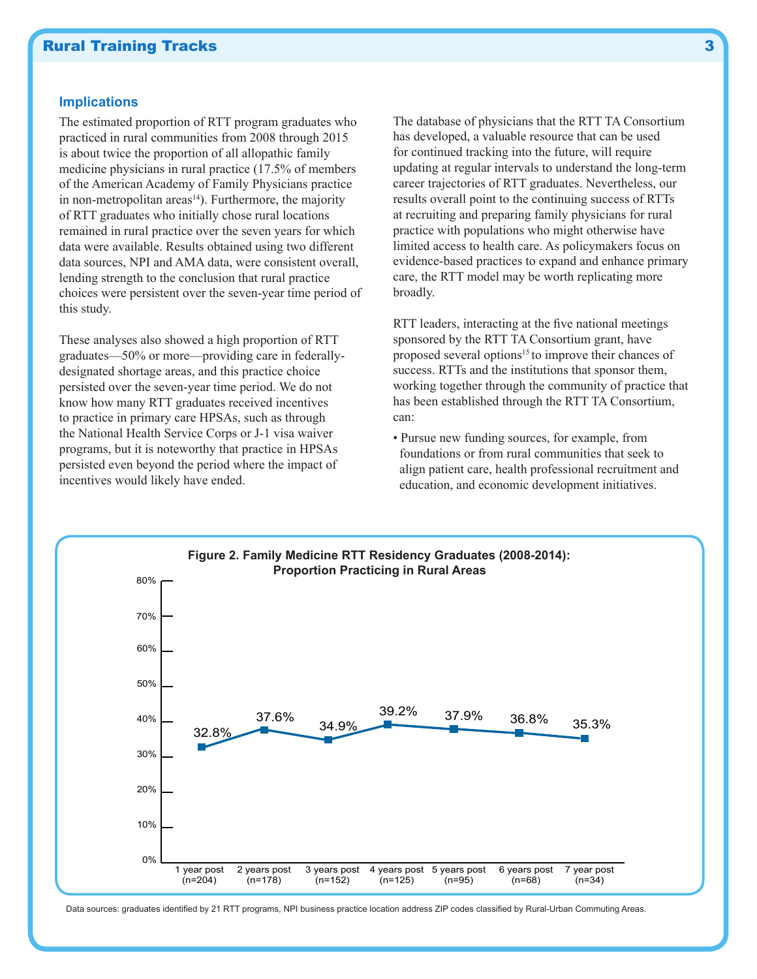### **Rural Training Tracks** 3

### **Implications**

The estimated proportion of RTT program graduates who practiced in rural communities from 2008 through 2015 is about twice the proportion of all allopathic family medicine physicians in rural practice (17.5% of members of the American Academy of Family Physicians practice in non-metropolitan areas $14$ ). Furthermore, the majority of RTT graduates who initially chose rural locations remained in rural practice over the seven years for which data were available. Results obtained using two different data sources, NPI and AMA data, were consistent overall, lending strength to the conclusion that rural practice choices were persistent over the seven-year time period of this study.

These analyses also showed a high proportion of RTT graduates—50% or more—providing care in federallydesignated shortage areas, and this practice choice persisted over the seven-year time period. We do not know how many RTT graduates received incentives to practice in primary care HPSAs, such as through the National Health Service Corps or J-1 visa waiver programs, but it is noteworthy that practice in HPSAs persisted even beyond the period where the impact of incentives would likely have ended.

The database of physicians that the RTT TA Consortium has developed, a valuable resource that can be used for continued tracking into the future, will require updating at regular intervals to understand the long-term career trajectories of RTT graduates. Nevertheless, our results overall point to the continuing success of RTTs at recruiting and preparing family physicians for rural practice with populations who might otherwise have limited access to health care. As policymakers focus on evidence-based practices to expand and enhance primary care, the RTT model may be worth replicating more broadly.

RTT leaders, interacting at the five national meetings sponsored by the RTT TA Consortium grant, have proposed several options<sup>15</sup> to improve their chances of success. RTTs and the institutions that sponsor them, working together through the community of practice that has been established through the RTT TA Consortium, can:

• Pursue new funding sources, for example, from foundations or from rural communities that seek to align patient care, health professional recruitment and education, and economic development initiatives.



Data sources: graduates identified by 21 RTT programs, NPI business practice location address ZIP codes classified by Rural-Urban Commuting Areas.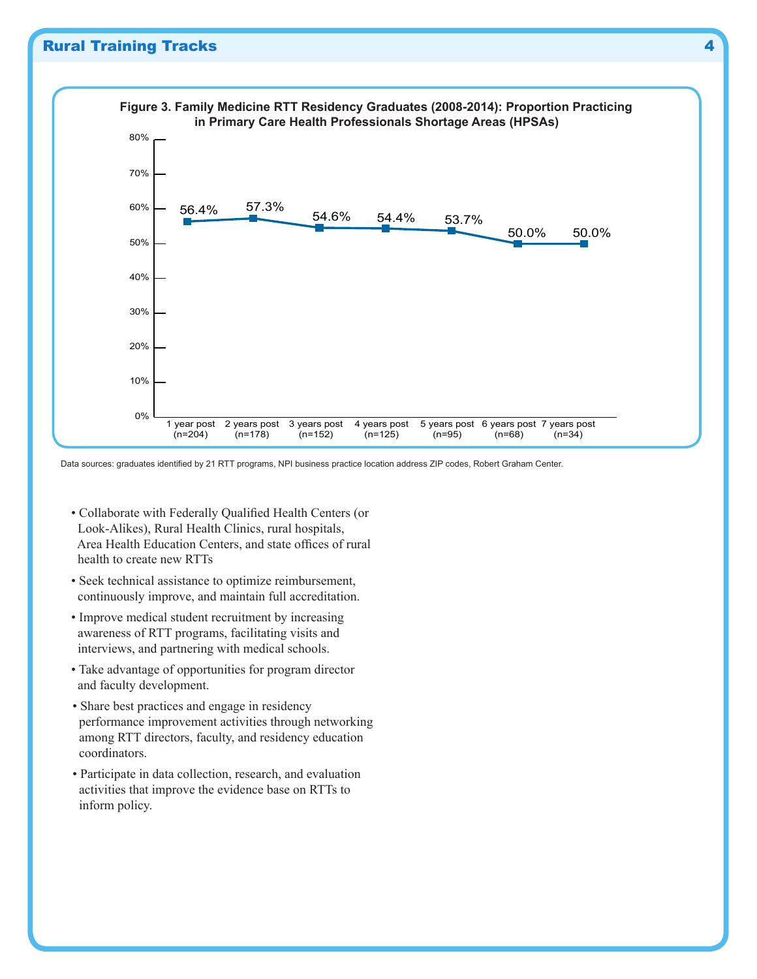

Data sources: graduates identified by 21 RTT programs, NPI business practice location address ZIP codes, Robert Graham Center.

- Collaborate with Federally Qualified Health Centers (or Look-Alikes), Rural Health Clinics, rural hospitals, Area Health Education Centers, and state offices of rural health to create new RTTs
- Seek technical assistance to optimize reimbursement, continuously improve, and maintain full accreditation.
- Improve medical student recruitment by increasing awareness of RTT programs, facilitating visits and interviews, and partnering with medical schools.
- Take advantage of opportunities for program director and faculty development.
- Share best practices and engage in residency performance improvement activities through networking among RTT directors, faculty, and residency education coordinators.
- Participate in data collection, research, and evaluation activities that improve the evidence base on RTTs to inform policy.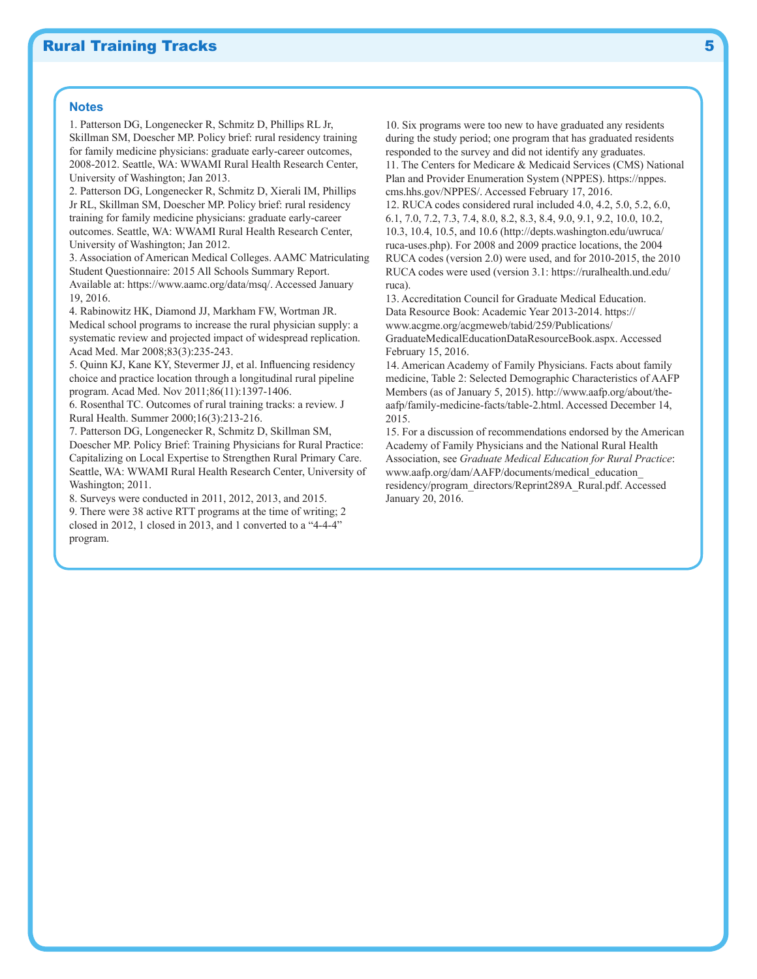#### **Notes**

program.

1. Patterson DG, Longenecker R, Schmitz D, Phillips RL Jr, Skillman SM, Doescher MP. Policy brief: rural residency training for family medicine physicians: graduate early-career outcomes, 2008-2012. Seattle, WA: WWAMI Rural Health Research Center, University of Washington; Jan 2013.

2. Patterson DG, Longenecker R, Schmitz D, Xierali IM, Phillips Jr RL, Skillman SM, Doescher MP. Policy brief: rural residency training for family medicine physicians: graduate early-career outcomes. Seattle, WA: WWAMI Rural Health Research Center, University of Washington; Jan 2012.

3. Association of American Medical Colleges. AAMC Matriculating Student Questionnaire: 2015 All Schools Summary Report. Available at: https://www.aamc.org/data/msq/. Accessed January 19, 2016.

4. Rabinowitz HK, Diamond JJ, Markham FW, Wortman JR. Medical school programs to increase the rural physician supply: a systematic review and projected impact of widespread replication. Acad Med. Mar 2008;83(3):235-243.

5. Quinn KJ, Kane KY, Stevermer JJ, et al. Influencing residency choice and practice location through a longitudinal rural pipeline program. Acad Med. Nov 2011;86(11):1397-1406.

6. Rosenthal TC. Outcomes of rural training tracks: a review. J Rural Health. Summer 2000;16(3):213-216.

7. Patterson DG, Longenecker R, Schmitz D, Skillman SM, Doescher MP. Policy Brief: Training Physicians for Rural Practice: Capitalizing on Local Expertise to Strengthen Rural Primary Care. Seattle, WA: WWAMI Rural Health Research Center, University of Washington; 2011.

8. Surveys were conducted in 2011, 2012, 2013, and 2015. 9. There were 38 active RTT programs at the time of writing; 2 closed in 2012, 1 closed in 2013, and 1 converted to a "4-4-4"

10. Six programs were too new to have graduated any residents during the study period; one program that has graduated residents responded to the survey and did not identify any graduates. 11. The Centers for Medicare & Medicaid Services (CMS) National Plan and Provider Enumeration System (NPPES). https://nppes. cms.hhs.gov/NPPES/. Accessed February 17, 2016.

12. RUCA codes considered rural included 4.0, 4.2, 5.0, 5.2, 6.0, 6.1, 7.0, 7.2, 7.3, 7.4, 8.0, 8.2, 8.3, 8.4, 9.0, 9.1, 9.2, 10.0, 10.2, 10.3, 10.4, 10.5, and 10.6 (http://depts.washington.edu/uwruca/ ruca-uses.php). For 2008 and 2009 practice locations, the 2004 RUCA codes (version 2.0) were used, and for 2010-2015, the 2010 RUCA codes were used (version 3.1: https://ruralhealth.und.edu/ ruca).

13. Accreditation Council for Graduate Medical Education. Data Resource Book: Academic Year 2013-2014. https:// www.acgme.org/acgmeweb/tabid/259/Publications/ GraduateMedicalEducationDataResourceBook.aspx. Accessed February 15, 2016.

14. American Academy of Family Physicians. Facts about family medicine, Table 2: Selected Demographic Characteristics of AAFP Members (as of January 5, 2015). http://www.aafp.org/about/theaafp/family-medicine-facts/table-2.html. Accessed December 14, 2015.

15. For a discussion of recommendations endorsed by the American Academy of Family Physicians and the National Rural Health Association, see *Graduate Medical Education for Rural Practice*: www.aafp.org/dam/AAFP/documents/medical\_education\_ residency/program\_directors/Reprint289A\_Rural.pdf. Accessed January 20, 2016.